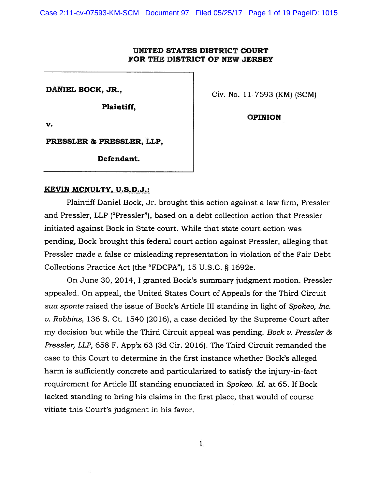## UNITED STATES DISTRICT COURT FOR THE DISTRICT OF NEW JERSEY

Plaintiff,

DANIEL BOCK, JR.,  $\qquad \qquad$  Civ. No. 11-7593 (KM) (SCM)

OPINION

V.

PRESSLER & PRESSLER, LLP,

Defendant.

## KEVIN MCNULTY, U.S.D.J.:

Plaintiff Daniel Bock, Jr. brought this action against <sup>a</sup> law firm, Pressler and Pressler, LLP ("Pressler"), based on <sup>a</sup> debt collection action that Pressler initiated against Bock in State court. While that state court action was pending, Bock brought this federal court action against Pressler, alleging that Pressler made <sup>a</sup> false or misleading representation in violation of the Fair Debt Collections Practice Act (the "FDCPA"), <sup>15</sup> U.S.C. § 1692e.

On June 30, 2014, I granted Bock's summary judgment motion. Pressler appealed. On appeal, the United States Court of Appeals for the Third Circuit sua sponte raised the issue of Bock's Article III standing in light of Spokeo, Inc. v. Robbins, 136 S. Ct. 1540 (2016), <sup>a</sup> case decided by the Supreme Court after my decision but while the Third Circuit appeal was pending. Bock  $\nu$ . Pressler & Pressler, LLP, 658 F. App'x 63 (3d Cir. 2016). The Third Circuit remanded the case to this Court to determine in the first instance whether Bock's alleged harm is sufficiently concrete and particularized to satisfy the injury-in-fact requirement for Article III standing enunciated in Spokeo. Id. at 65. If Bock lacked standing to bring his claims in the first place, that would of course vitiate this Court's judgment in his favor.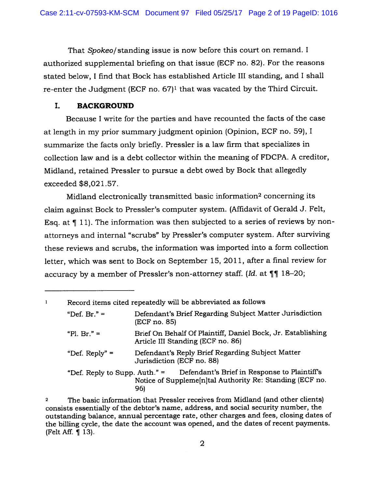That Spokeo/standing issue is now before this court on remand. I authorized supplemental briefing on that issue (ECF no. 82). For the reasons stated below, I find that Bock has established Article III standing, and I shall re-enter the Judgment (ECF no. 67)' that was vacated by the Third Circuit.

## I. BACKGROUND

Because <sup>I</sup> write for the parties and have recounted the facts of the case at length in my prior summary judgment opinion (Opinion, ECF no. 59), <sup>I</sup> summarize the facts only briefly. Pressler is <sup>a</sup> law firm that specializes in collection law and is <sup>a</sup> debt collector within the meaning of FDCPA. A creditor, Midland, retained Pressler to pursue <sup>a</sup> debt owed by Bock that allegedly exceeded \$8,021.57.

Midland electronically transmitted basic information<sup>2</sup> concerning its claim against Bock to Pressler's computer system. (Affidavit of Gerald J. Felt, Esq. at ¶ 11). The information was then subjected to <sup>a</sup> series of reviews by nonattorneys and internal "scrubs" by Pressler's computer system. After surviving these reviews and scrubs, the information was imported into <sup>a</sup> form collection letter, which was sent to Bock on September 15, 2011, after <sup>a</sup> final review for accuracy by a member of Pressler's non-attorney staff. (Id. at  $\P\P$  18–20;

| 1 | Record items cited repeatedly will be abbreviated as follows |                                                                                                                 |
|---|--------------------------------------------------------------|-----------------------------------------------------------------------------------------------------------------|
|   | "Def. Br." $=$                                               | Defendant's Brief Regarding Subject Matter Jurisdiction<br>(ECF no. 85)                                         |
|   | "Pl. Br." $=$                                                | Brief On Behalf Of Plaintiff, Daniel Bock, Jr. Establishing<br>Article III Standing (ECF no. 86)                |
|   | "Def. Reply" $=$                                             | Defendant's Reply Brief Regarding Subject Matter<br>Jurisdiction (ECF no. 88)                                   |
|   | "Def. Reply to Supp. Auth." $=$                              | Defendant's Brief in Response to Plaintiff's<br>Notice of Suppleme[n]tal Authority Re: Standing (ECF no.<br>96) |

The basic information that Pressler receives from Midland (and other clients) consists essentially of the debtor's name, address, and social security number, the outstanding balance, annual percentage rate, other charges and fees, closing dates of the billing cycle, the date the account was opened, and the dates of recent payments. (Felt Aff. ¶ 13).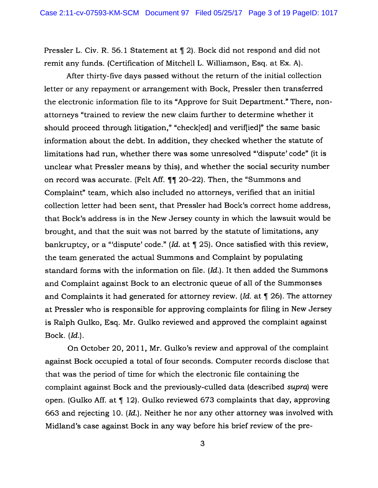Pressler L. Civ. R. 56.1 Statement at ¶ 2). Bock did not respon<sup>d</sup> and did not remit any funds. (Certification of Mitchell L. Williamson, Esq. at Ex. A).

After thirty-five days passed without the return of the initial collection letter or any repaymen<sup>t</sup> or arrangemen<sup>t</sup> with Bock, Pressler then transferred the electronic information file to its "Approve for Suit Department." There, nonattorneys "trained to review the new claim further to determine whether it should proceed through litigation," "check[ed] and verif[iedj" the same basic information about the debt. In addition, they checked whether the statute of limitations had run, whether there was some unresolved "dispute' code" (it is unclear what Pressler means by this), and whether the social security number on record was accurate. (Felt Aff.  $\P\P$  20–22). Then, the "Summons and Complaint" team, which also included no attorneys, verified that an initial collection letter had been sent, that Pressler had Bock's correct home address, that Bock's address is in the New Jersey county in which the lawsuit would be brought, and that the suit was not barred by the statute of limitations, any bankruptcy, or a "dispute' code." (Id. at  $\P$  25). Once satisfied with this review, the team generated the actual Summons and Complaint by populating standard forms with the information on file. (Id.). It then added the Summons and Complaint against Bock to an electronic queue of all of the Summonses and Complaints it had generated for attorney review. (Id. at  $\P$  26). The attorney at Pressler who is responsible for approving complaints for filing in New Jersey is Ralph Gulko, Esq. Mr. Gulko reviewed and approved the complaint against Bock. (Id.).

On October 20, 2011, Mr. Gulko's review and approval of the complaint against Bock occupied <sup>a</sup> total of four seconds. Computer records disclose that that was the period of time for which the electronic file containing the complaint against Bock and the previously-culled data (described supra) were open. (Gulko Aff. at ¶ 12). Gulko reviewed <sup>673</sup> complaints that day, approving 663 and rejecting 10. (Id.). Neither he nor any other attorney was involved with Midland's case against Bock in any way before his brief review of the pre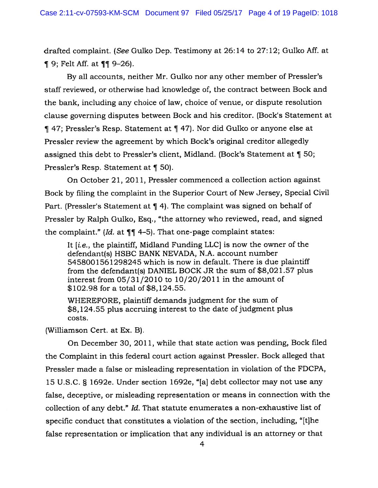drafted complaint. (See Gulko Dep. Testimony at 26:14 to 27:12; Gulko Aff. at  $\P$  9; Felt Aff. at  $\P$  $\P$  9-26).

By all accounts, neither Mr. Gulko nor any other member of Pressler's staff reviewed, or otherwise had knowledge of, the contract between Bock and the bank, including any choice of law, choice of venue, or dispute resolution clause governing disputes between Bock and his creditor. (Bock's Statement at ¶ 47; Pressler's Resp. Statement at ¶ 47). Nor did Gulko or anyone else at Pressler review the agreemen<sup>t</sup> by which Bock's original creditor allegedly assigned this debt to Pressler's client, Midland. (Bock's Statement at ¶ 50; Pressler's Resp. Statement at ¶ 50).

On October 21, 2011, Pressler commenced <sup>a</sup> collection action against Bock by filing the complaint in the Superior Court of New Jersey, Special Civil Part. (Pressler's Statement at ¶ 4). The complaint was signed on behalf of Pressler by Ralph Gulko, Esq., "the attorney who reviewed, read, and signed the complaint." (Id. at  $\P\P$  4–5). That one-page complaint states:

It [i.e., the <sup>p</sup>laintiff, Midland Funding LLC] is now the owner of the defendant(s) HSBC BANK NEVADA, N.A. account number 5458001561298245 which is now in default. There is due plaintiff from the defendant(s) DANIEL BOCK JR the sum of \$8,021.57 plus interest from 05/31/2010 to 10/20/2011 in the amount of \$102.98 for <sup>a</sup> total of \$8,124.55.

WHEREFORE, plaintiff demands judgment for the sum of \$8,124.55 plus accruing interest to the date of judgment plus costs.

(Williamson Cert. at Ex. B).

On December 30, 2011, while that state action was pending, Bock filed the Complaint in this federal court action against Pressler. Bock alleged that Pressler made <sup>a</sup> false or misleading representation in violation of the FDCPA, <sup>15</sup> U.S.C. § 1692e. Under section 1692e, "[a] debt collector may not use any false, deceptive, or misleading representation or means in connection with the collection of any debt." Id. That statute enumerates <sup>a</sup> non-exhaustive list of specific conduct that constitutes <sup>a</sup> violation of the section, including, "[tjhe false representation or implication that any individual is an attorney or that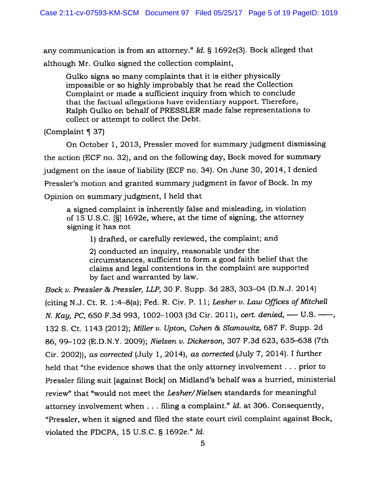any communication is from an attorney." Id. § 1692e(3). Bock alleged that although Mr. Gulko signed the collection complaint,

Gulko signs so many complaints that it is either <sup>p</sup>hysically impossible or so highly improbably that he read the Collection Complaint or made <sup>a</sup> sufficient inquiry from which to conclude that the factual allegations have evidentiary support. Therefore, Ralph Gulko on behalf of PRESSLER made false representations to collect or attempt to collect the Debt.

(Complaint ¶ 37)

On October 1, 2013, Pressler moved for summary judgment dismissing the action (ECF no. 32), and on the following day, Bock moved for summary judgment on the issue of liability (ECF no. 34). On June 30, 2014, <sup>I</sup> denied Pressler's motion and granted summary judgment in favor of Bock. In my Opinion on summary judgment, <sup>I</sup> held that

<sup>a</sup> signed complaint is inherently false and misleading, in violation of 15 U.S.C. [§] 1692e, where, at the time of signing, the attorney signing it has not

1) drafted, or carefully reviewed, the complaint; and

2) conducted an inquiry, reasonable under the circumstances, sufficient to form <sup>a</sup> good faith belief that the claims and legal contentions in the complaint are supported by fact and warranted by law.

Bock v. Pressler & Pressler, LLP, 30 F. Supp. 3d 283, 303—04 (D.N.J. 2014) (citing N.J. Ct. R. 1:4—8(a); Fed. R. Civ. P. 11; Lesher v. Law Offices of Mitchell N. Kay, PC, 650 F.3d 993, 1002–1003 (3d Cir. 2011), cert. denied, — U.S. —, <sup>132</sup> S. Ct. <sup>1143</sup> (2012); Miller v. Upton, Cohen & Slamowitz, <sup>687</sup> F. Supp. 2d 86, 99—102 (E.D.N.Y. 2009); Nielsen v. Dickerson, <sup>307</sup> F.3d 623, 635—638 (7th Cir. 2002)), as corrected (July 1, 2014), as corrected (July 7, 2014). <sup>I</sup> further held that "the evidence shows that the only attorney involvement. . . prior to Pressler filing suit [against Bock] on Midland's behalf was <sup>a</sup> hurried, ministerial review" that "would not meet the Lesher/Nielsen standards for meaningful attorney involvement when . . . filing a complaint." Id. at 306. Consequently, "Pressler, when it signed and filed the state court civil complaint against Bock, violated the FDCPA, <sup>15</sup> U.S.C. § 1692e." Id.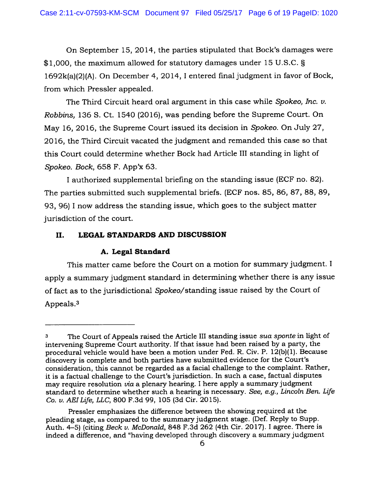On September 15, 2014, the parties stipulated that Bock's damages were \$1,000, the maximum allowed for statutory damages under <sup>15</sup> U.S.C. § 1692k(a)(2)(A). On December 4, 2014, <sup>I</sup> entered final judgment in favor of Bock, from which Pressler appealed.

The Third Circuit heard oral argument in this case while Spokeo, Inc.  $v$ . Robbins, 136 S. Ct. 1540 (2016), was pending before the Supreme Court. On May 16, 2016, the Supreme Court issued its decision in Spokeo. On July 27, 2016, the Third Circuit vacated the judgment and remanded this case so that this Court could determine whether Bock had Article III standing in light of Spokeo. Bock, 658 F. App'x 63.

<sup>I</sup> authorized supplemental briefing on the standing issue (ECF no. 82). The parties submitted such supplemental briefs. (ECF nos. 85, 86, 87, 88, 89, 93, 96) <sup>I</sup> now address the standing issue, which goes to the subject matter jurisdiction of the court.

# II. LEGAL STANDARDS AND DISCUSSION

# A. Legal Standard

This matter came before the Court on <sup>a</sup> motion for summary judgment. I apply <sup>a</sup> summary judgment standard in determining whether there is any issue of fact as to the jurisdictional Spokeo/standing issue raised by the Court of Appeals. 3

<sup>3</sup> The Court of Appeals raised the Article III standing issue sua sponte in light of intervening Supreme Court authority. If that issue had been raised by <sup>a</sup> party, the procedural vehicle would have been <sup>a</sup> motion under Fed. R. Civ. P. 12(b)(1). Because discovery is complete and both parties have submitted evidence for the Court's consideration, this cannot be regarded as <sup>a</sup> facial challenge to the complaint. Rather, it is <sup>a</sup> factual challenge to the Court's jurisdiction. In such <sup>a</sup> case, factual disputes may require resolution via <sup>a</sup> <sup>p</sup>lenary hearing. <sup>I</sup> here apply <sup>a</sup> summary judgment standard to determine whether such <sup>a</sup> hearing is necessary. See, e.g., Lincoln Ben. Life Co. v. AEILfe, LLC, 800 F.3d 99, 105 (3d Cir. 2015).

Pressler emphasizes the difference between the showing required at the <sup>p</sup>leading stage, as compare<sup>d</sup> to the summary judgment stage. (Def. Reply to Supp. Auth.  $4-5$ ) (citing Beck v. McDonald, 848 F.3d 262 (4th Cir. 2017). I agree. There is indeed <sup>a</sup> difference, and "having developed through discovery <sup>a</sup> summary judgment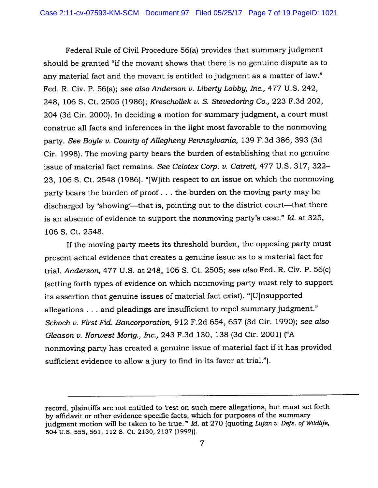Federal Rule of Civil Procedure 56(a) provides that summary judgment should be granted "if the movant shows that there is no genuine dispute as to any material fact and the movant is entitled to judgment as <sup>a</sup> matter of law." Fed. R. Civ. P. 56(a); see also Anderson v. Liberty Lobby, Inc., 477 U.S. 242, 248, 106 S. Ct. 2505 (1986); Kreschollek v. S. Stevedoring Co., 223 F.3d 202, 204 (3d Cir. 2000). In deciding <sup>a</sup> motion for summary judgment, <sup>a</sup> court must construe all facts and inferences in the light most favorable to the nonmoving party. See Boyle v. County of Allegheny Pennsylvania, 139 F.3d 386, 393 (3d Cir. 1998). The moving party bears the burden of establishing that no genuine issue of material fact remains. See Celotex Corp. v. Catrett, 477 U.S. 317, 322— 23, <sup>106</sup> S. Ct. <sup>2548</sup> (1986). "[W}ith respec<sup>t</sup> to an issue on which the nonmoving party bears the burden of proof. . . the burden on the moving party may be discharged by 'showing'—that is, pointing out to the district court—that there is an absence of evidence to support the nonmoving party's case." Id. at 325, 106 S. Ct. 2548.

If the moving party meets its threshold burden, the opposing party must presen<sup>t</sup> actual evidence that creates <sup>a</sup> genuine issue as to <sup>a</sup> material fact for trial. Anderson, 477 U.S. at 248, 106 S. Ct. 2505; see also Fed. R. Civ. P. 56(c) (setting forth types of evidence on which nonmoving party must rely to suppor<sup>t</sup> its assertion that genuine issues of material fact exist). "[U]nsupported allegations. . . and <sup>p</sup>leadings are insufficient to repe<sup>l</sup> summary judgment." Schoch v. First Fid. Bancorporation, <sup>912</sup> F.2d 654, <sup>657</sup> (3d Cir. 1990); see also Gleason v. Norwest Mortg., Inc., <sup>243</sup> F.3d 130, <sup>138</sup> (3d Cir. 2001) ("A nonmoving party has created <sup>a</sup> genuine issue of material fact if it has provided sufficient evidence to allow <sup>a</sup> jury to find in its favor at trial.").

record, <sup>p</sup>laintiffs are not entitled to 'rest on such mere allegations, but must set forth by affidavit or other evidence specific facts, which for purposes of the summary judgment motion will be taken to be true."" Id. at  $270$  (quoting Lujan v. Defs. of Wildlife, 504 U.S. 555, 561, 112 S. Ct. 2130, 2137 (1992)).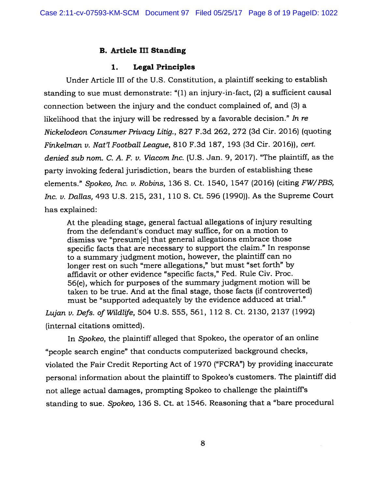# B. Article III Standing

## 1. Legal Principles

Under Article Ill of the U.S. Constitution, <sup>a</sup> plaintiff seeking to establish standing to sue must demonstrate: "(1) an injury-in-fact, (2) <sup>a</sup> sufficient causal connection between the injury and the conduct complained of, and (3) <sup>a</sup> likelihood that the injury will be redressed by <sup>a</sup> favorable decision." In re Nickelodeon Consumer Privacy Litig., 827 F.3d 262, 272 (3d Cir. 2016) (quoting Finkelman v. Nat'l Football League, 810 F.3d 187, 193 (3d Cir. 2016)), cert. denied sub nom. C. A. F. v. Viacom Inc. (U.S. Jan. 9, 2017). "The plaintiff, as the party invoking federal jurisdiction, bears the burden of establishing these elements." Spokeo, Inc. v. Robins, <sup>136</sup> S. Ct. 1540, <sup>1547</sup> (2016) (citing FW/PBS, Inc. v. Dallas, 493 U.S. 215, 231, 110 S. Ct. 596 (1990)). As the Supreme Court has explained:

At the <sup>p</sup>leading stage, genera<sup>l</sup> factual allegations of injury resulting from the defendant's conduct may suffice, for on <sup>a</sup> motion to dismiss we "presum[e] that genera<sup>l</sup> allegations embrace those specific facts that are necessary to suppor<sup>t</sup> the claim." In response to <sup>a</sup> summary judgment motion, however, the <sup>p</sup>laintiff can no longer rest on such "mere allegations," but must "set forth" by affidavit or other evidence "specific facts," Fed. Rule Civ. Proc. 56(e), which for purposes of the summary judgment motion will be taken to be true. And at the final stage, those facts (if controverted) must be "supported adequately by the evidence adduced at trial."

Lujan v. Defs. of Wildlife, <sup>504</sup> U.S. 555, 561, <sup>112</sup> S. Ct. 2130, <sup>2137</sup> (1992) (internal citations omitted).

In Spokeo, the <sup>p</sup>laintiff alleged that Spokeo, the operator of an online "people search engine" that conducts computerized background checks, violated the Fair Credit Reporting Act of 1970 ("FCRA") by providing inaccurate persona<sup>l</sup> information about the <sup>p</sup>laintiff to Spokeo's customers. The <sup>p</sup>laintiff did not allege actual damages, prompting Spokeo to challenge the <sup>p</sup>laintiff's standing to sue. Spokeo, <sup>136</sup> 5. Ct. at 1546. Reasoning that <sup>a</sup> "bare procedural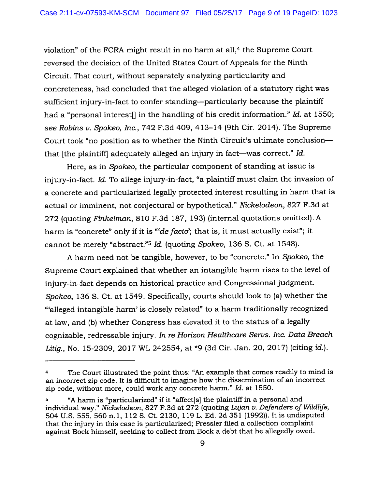violation" of the FCRA might result in no harm at all,<sup>4</sup> the Supreme Court reversed the decision of the United States Court of Appeals for the Ninth Circuit. That court, without separately analyzing particularity and concreteness, had concluded that the alleged violation of <sup>a</sup> statutory right was sufficient injury-in-fact to confer standing—particularly because the <sup>p</sup>laintiff had a "personal interest<sup>[]</sup> in the handling of his credit information." Id. at 1550; see Robins v. Spokeo, Inc., <sup>742</sup> F.3d 409, <sup>4</sup> 13—14 (9th Cir. 2014). The Supreme Court took "no position as to whether the Ninth Circuit's ultimate conclusion that [the <sup>p</sup>laintiff] adequately alleged an injury in fact—was correct." Id.

Here, as in Spokeo, the particular componen<sup>t</sup> of standing at issue is injury-in-fact. Id. To allege injury-in-fact, "a <sup>p</sup>laintiff must claim the invasion of <sup>a</sup> concrete and particularized legally protected interest resulting in harm that is actual or imminent, not conjectural or hypothetical." Nickelodeon, 827 F.3d at <sup>272</sup> (quoting Finkelman, <sup>810</sup> F.3d 187, 193) (internal quotations omitted). <sup>A</sup> harm is "concrete" only if it is "de facto'; that is, it must actually exist"; it cannot be merely "abstract."<sup>5</sup> Id. (quoting Spokeo, 136 S. Ct. at 1548).

<sup>A</sup> harm need not be tangible, however, to be "concrete." In Spokeo, the Supreme Court explained that whether an intangible harm rises to the level of injury-in-fact depends on historical practice and Congressional judgment. Spokeo, <sup>136</sup> S. Ct. at 1549. Specifically, courts should look to (a) whether the "alleged intangible harm' is closely related" to <sup>a</sup> harm traditionally recognized at law, and (b) whether Congress has elevated it to the status of <sup>a</sup> legally cognizable, redressable injury. In re Horizon Healthcare Servs. Inc. Data Breach Litig., No. 15-2309, 2017 WL 242554, at \*9 (3d Cir. Jan. 20, 2017) (citing id.).

The Court illustrated the point thus: "An example that comes readily to mind is  $\overline{\mathbf{4}}$ an incorrect zip code. It is difficult to imagine how the dissemination of an incorrect zip code, without more, could work any concrete harm." Id. at 1550.

<sup>&</sup>quot;A harm is "particularized" if it "affect[s] the <sup>p</sup>laintiff in <sup>a</sup> persona<sup>l</sup> and 5 individual way." Nickelodeon, 827 F.3d at 272 (quoting Lujan  $v$ . Defenders of Wildlife, <sup>504</sup> U.S. 555, 560 n.1, 112 S. Ct. 2130, 119 L. Ed. 2d 351 (1992)). It is undisputed that the injury in this case is particularized; Pressler filed <sup>a</sup> collection complaint against Bock himself, seeking to collect from Bock <sup>a</sup> debt that he allegedly owed.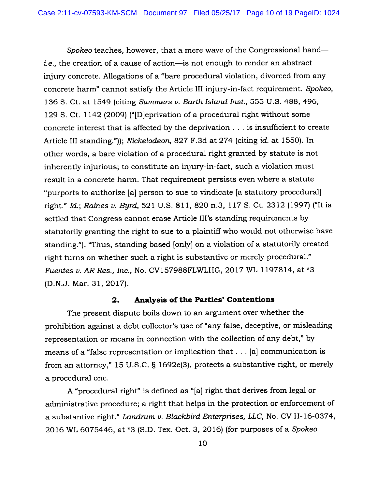Spokeo teaches, however, that <sup>a</sup> mere wave of the Congressional hand i.e., the creation of <sup>a</sup> cause of action—is not enough to render an abstract injury concrete. Allegations of <sup>a</sup> "bare procedural violation, divorced from any concrete harm" cannot satisfy the Article III injury-in-fact requirement. Spokeo, 136 S. Ct. at 1549 (citing Summers v. Earth Island Inst., 555 U.S. 488, 496, 129 S. Ct. 1142 (2009) ("[D]eprivation of <sup>a</sup> procedural right without some concrete interest that is affected by the deprivation . . . is insufficient to create Article III standing.")); Nickelodeon, 827 F.3d at 274 (citing id. at 1550). In other words, <sup>a</sup> bare violation of <sup>a</sup> procedural right granted by statute is not inherently injurious; to constitute an injury-in-fact, such <sup>a</sup> violation must result in <sup>a</sup> concrete harm. That requirement persists even where <sup>a</sup> statute "purports to authorize [a] person to sue to vindicate [a statutory procedurall right." Id.; Raines v. Byrd, <sup>521</sup> U.S. 811, <sup>820</sup> n.3, <sup>117</sup> S. Ct. <sup>2312</sup> (1997) ("It is settled that Congress cannot erase Article III's standing requirements by statutorily granting the right to sue to <sup>a</sup> <sup>p</sup>laintiff who would not otherwise have standing."). "Thus, standing based [only] on <sup>a</sup> violation of <sup>a</sup> statutorily created right turns on whether such <sup>a</sup> right is substantive or merely procedural." Fuentes v. AR Res., Inc., No. CV157988FLWLHG, <sup>2017</sup> WL 1197814, at \*3 (D.N.J. Mar. 31, 2017).

## 2. Analysis of the Parties' Contentions

The presen<sup>t</sup> dispute boils down to an argumen<sup>t</sup> over whether the prohibition against <sup>a</sup> debt collector's use of "any false, deceptive, or misleading representation or means in connection with the collection of any debt," by means of <sup>a</sup> "false representation or implication that. . . [a] communication is from an attorney," <sup>15</sup> U.S.C. § 1692e(3), protects <sup>a</sup> substantive right, or merely <sup>a</sup> procedural one.

<sup>A</sup> "procedural right" is defined as "[a] right that derives from legal or administrative procedure; <sup>a</sup> right that helps in the protection or enforcement of a substantive right." Landrum v. Blackbird Enterprises, LLC, No. CV H-16-0374, <sup>2016</sup> WL 6075446, at \*3 (S.D. Tex. Oct. 3, 2016) (for purposes of <sup>a</sup> Spokeo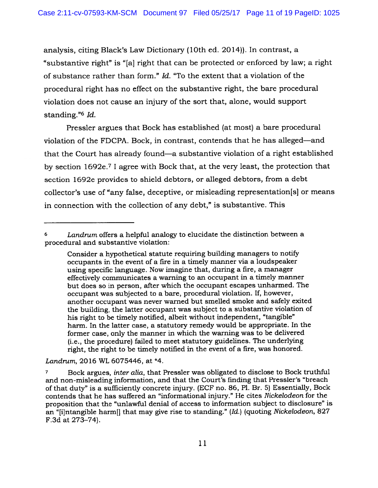analysis, citing Black's Law Dictionary (10th ed. 2014)). In contrast, <sup>a</sup> "substantive right" is "[a] right that can be protected or enforced by law; <sup>a</sup> right of substance rather than form." Id. "To the extent that <sup>a</sup> violation of the procedural right has no effect on the substantive right, the bare procedural violation does not cause an injury of the sort that, alone, would suppor<sup>t</sup> standing." $6$  *Id.* 

Pressler argues that Bock has established (at most) <sup>a</sup> bare procedural violation of the FDCPA. Bock, in contrast, contends that he has alleged—and that the Court has already found—a substantive violation of <sup>a</sup> right established by section 1692e. <sup>7</sup><sup>I</sup> agree with Bock that, at the very least, the protection that section 1692e provides to shield debtors, or alleged debtors, from <sup>a</sup> debt collector's use of "any false, deceptive, or misleading representation[s] or means in connection with the collection of any debt," is substantive. This

Landrum, 2016 WL 6075446, at \*4.

Landrum offers a helpful analogy to elucidate the distinction between a procedural and substantive violation:

Consider <sup>a</sup> hypothetical statute requiring building managers to notify occupants in the event of <sup>a</sup> fire in <sup>a</sup> timely manner via <sup>a</sup> loudspeaker using specific language. Now imagine that, during <sup>a</sup> fire, <sup>a</sup> manager effectively communicates <sup>a</sup> warning to an occupan<sup>t</sup> in <sup>a</sup> timely manner but does so in person, after which the occupan<sup>t</sup> escapes unharmed. The occupan<sup>t</sup> was subjected to <sup>a</sup> bare, procedural violation. If, however, another occupan<sup>t</sup> was never warned but smelled smoke and safely exited the building, the latter occupan<sup>t</sup> was subject to <sup>a</sup> substantive violation of his right to be timely notified, albeit without independent, "tangible" harm. In the latter case, <sup>a</sup> statutory remedy would be appropriate. In the former case, only the manner in which the warning was to be delivered (i.e., the procedure) failed to meet statutory guidelines. The underlying right, the right to be timely notified in the event of <sup>a</sup> fire, was honored.

Bock argues, inter alia, that Pressler was obligated to disclose to Bock truthful  $\boldsymbol{7}$ and non-misleading information, and that the Court's fmding that Pressler's "breach of that duty" is <sup>a</sup> sufficiently concrete injury. (ECF no. 86, P1. Br. 5) Essentially, Bock contends that he has suffered an "informational injury." He cites Nickelodeon for the proposition that the "unlawful denial of access to information subject to disclosure" is an "[i]ntangible harm[] that may <sup>g</sup>ive rise to standing." (Id.) (quoting Nickelodeon, <sup>827</sup> F.3d at 273—74).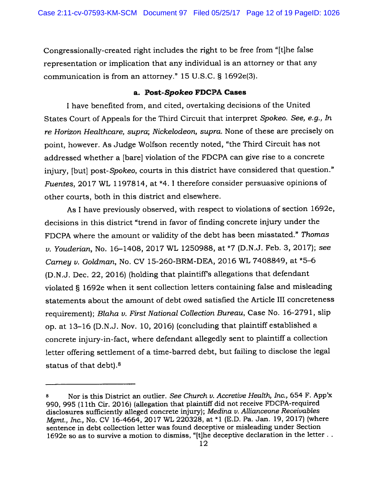Congressionally-created right includes the right to be free from "[tjhe false representation or implication that any individual is an attorney or that any communication is from an attorney." <sup>15</sup> U.S.C. § 1692e(3).

#### a. Post-Spokeo FDCPA Cases

I have benefited from, and cited, overtaking decisions of the United States Court of Appeals for the Third Circuit that interpret Spokeo. See, e.g., In re Horizon Healthcare, supra; Nickelodeon, supra. None of these are precisely on point, however. As Judge Wolfson recently noted, "the Third Circuit has not addressed whether <sup>a</sup> [bare] violation of the FDCPA can give rise to <sup>a</sup> concrete injury, [but] post-Spokeo, courts in this district have considered that question." Fuentes, 2017 WL 1197814, at \*4. I therefore consider persuasive opinions of other courts, both in this district and elsewhere.

As <sup>I</sup> have previously observed, with respec<sup>t</sup> to violations of section 1692e, decisions in this district "trend in favor of finding concrete injury under the FDCPA where the amount or validity of the debt has been misstated." Thomas v. Youderian, No. 16—1408, <sup>2017</sup> WL 1250988, at \*7 (D.N.J. Feb. 3, 2017); see Carney v. Goldman, No. CV 15-260-BRM-DEA, 2016 WL 7408849, at \*5-6 (D.N.J. Dec. 22, 2016) (holding that <sup>p</sup>laintiff's allegations that defendant violated § 1692e when it sent collection letters containing false and misleading statements about the amount of debt owed satisfied the Article III concreteness requirement); Blaha v. First National Collection Bureau, Case No. 16-2791, slip op. at 13—16 (D.N.J. Nov. 10, 2016) (concluding that <sup>p</sup>laintiff established <sup>a</sup> concrete injury-in-fact, where defendant allegedly sent to <sup>p</sup>laintiff <sup>a</sup> collection letter offering settlement of <sup>a</sup> time-barred debt, but failing to disclose the legal status of that debt).<sup>8</sup>

<sup>8</sup> Nor is this District an outlier. See Church v. Accretive Health, Inc., 654 F. App'x 990, <sup>995</sup> (11th Cir. 2016) (allegation that <sup>p</sup>laintiff did not receive FDCPA-required disclosures sufficiently alleged concrete injury); Medina v. Allianceone Receivables Mgmt., Inc., No. CV 16-4664, <sup>2017</sup> WL 220328, at \*1 (E.D. Pa. Jan. 19, 2017) (where sentence in debt collection letter was found deceptive or misleading under Section 1692e so as to survive <sup>a</sup> motion to dismiss, "[t]he deceptive declaration in the letter.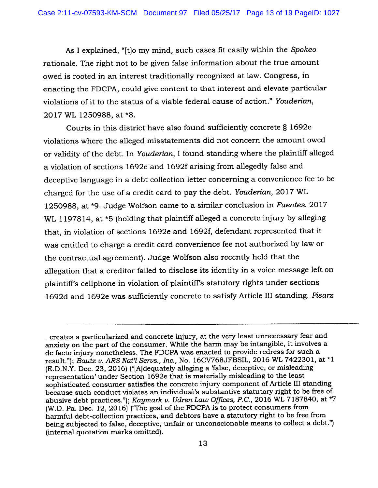As <sup>I</sup> explained, "[tjo my mind, such cases fit easily within the Spokeo rationale. The right not to be <sup>g</sup>iven false information about the true amount owed is rooted in an interest traditionally recognized at law. Congress, in enacting the FDCPA, could <sup>g</sup>ive content to that interest and elevate particular violations of it to the status of <sup>a</sup> viable federal cause of action." Youderian, 2017 WL 1250988, at \*8.

Courts in this district have also found sufficiently concrete § 1692e violations where the alleged misstatements did not concern the amount owed or validity of the debt. In Youderian, <sup>I</sup> found standing where the <sup>p</sup>laintiff alleged <sup>a</sup> violation of sections 1692e and 1692f arising from allegedly false and deceptive language in <sup>a</sup> debt collection letter concerning <sup>a</sup> convenience fee to be charged for the use of <sup>a</sup> credit card to pay the debt. Youderian, <sup>2017</sup> WL 1250988, at \*9. Judge Wolfson came to a similar conclusion in Fuentes. 2017 WL 1197814, at \*5 (holding that plaintiff alleged a concrete injury by alleging that, in violation of sections 1692e and 1692f, defendant represented that it was entitled to charge <sup>a</sup> credit card convenience fee not authorized by law or the contractual agreement). Judge Wolfson also recently held that the allegation that <sup>a</sup> creditor failed to disclose its identity in <sup>a</sup> voice message left on <sup>p</sup>laintiffs celiphone in violation of <sup>p</sup>laintiff's statutory rights under sections 1692d and 1692e was sufficiently concrete to satisfy Article III standing. Pisarz

creates <sup>a</sup> particularized and concrete injury, at the very least unnecessary fear and anxiety on the par<sup>t</sup> of the consumer. While the harm may be intangible, it involves <sup>a</sup> de facto injury nonetheless. The FDCPA was enacted to provide redress for such <sup>a</sup> result."); Bautz v. ARS Nat'l Servs., Inc., No. 16CV768JFBSIL, 2016 WL 7422301, at \*1 (E.D.N.Y. Dec. 23, 2016) ("[A]dequately alleging <sup>a</sup> 'false, deceptive, or misleading representation' under Section 1692e that is materially misleading to the least sophisticated consumer satisfies the concrete injury componen<sup>t</sup> of Article III standing because such conduct violates an individual's substantive statutory right to be free of abusive debt practices."); Kaymark v. Udren Law Offices, P.C., 2016 WL 7187840, at \*7 (W.D. Pa. Dec. 12, 2016) ("The goa<sup>l</sup> of the FDCPA is to protect consumers from harmful debt-collection practices, and debtors have <sup>a</sup> statutory right to be free from being subjected to false, deceptive, unfair or unconscionable means to collect <sup>a</sup> debt.") (internal quotation marks omitted).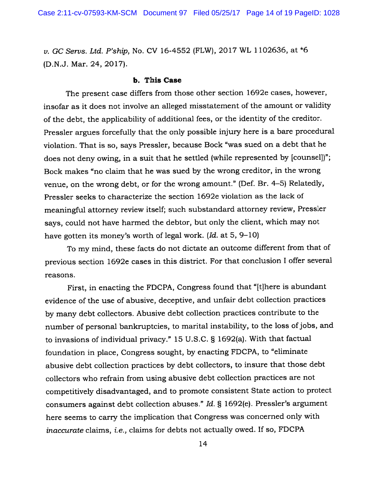v. GC Servs. Ltd. P'ship, No. CV 16-4552 (FLW), <sup>2017</sup> WL 1102636, at \*6 (D.N.J. Mar. 24, 2017).

#### b. This Case

The presen<sup>t</sup> case differs from those other section 1692e cases, however, insofar as it does not involve an alleged misstatement of the amount or validity of the debt, the applicability of additional fees, or the identity of the creditor. Pressler argues forcefully that the only possible injury here is <sup>a</sup> bare procedural violation. That is so, says Pressler, because Bock "was sued on <sup>a</sup> debt that he does not deny owing, in a suit that he settled (while represented by [counsel])"; Bock makes "no claim that he was sued by the wrong creditor, in the wrong venue, on the wrong debt, or for the wrong amount." (Def. Br. 4—5) Relatedly, Pressler seeks to characterize the section 1692e violation as the lack of meaningful attorney review itself; such substandard attorney review, Pressler says, could not have harmed the debtor, but only the client, which may not have gotten its money's worth of legal work. (Id. at 5, 9—10)

To my mind, these facts do not dictate an outcome different from that of previous section 1692e cases in this district. For that conclusion <sup>I</sup> offer several reasons.

First, in enacting the FDCPA, Congress found that "[t]here is abundant evidence of the use of abusive, deceptive, and unfair debt collection practices by many debt collectors. Abusive debt collection practices contribute to the number of persona<sup>l</sup> bankruptcies, to marital instability, to the loss of jobs, and to invasions of individual privacy." <sup>15</sup> U.S.C. § 1692(a). With that factual foundation in <sup>p</sup>lace, Congress sought, by enacting FDCPA, to "eliminate abusive debt collection practices by debt collectors, to insure that those debt collectors who refrain from using abusive debt collection practices are not competitively disadvantaged, and to promote consistent State action to protect consumers against debt collection abuses." Id. § 1692(e). Pressler's argumen<sup>t</sup> here seems to carry the implication that Congress was concerned only with inaccurate claims, i.e., claims for debts not actually owed. If so, FDCPA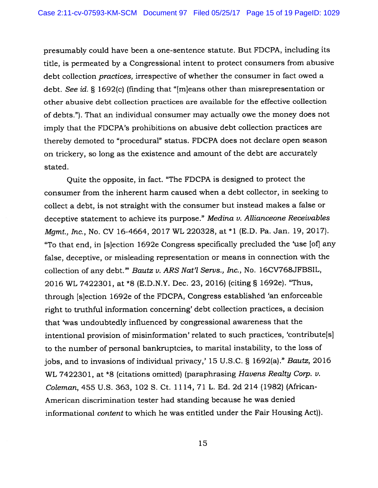presumably could have been <sup>a</sup> One—sentence statute. But FDCPA, including its title, is permeated by <sup>a</sup> Congressional intent to protect consumers from abusive debt collection practices, irrespective of whether the consumer in fact owed <sup>a</sup> debt. See id. § 1692(c) (finding that "Im]eans other than misrepresentation or other abusive debt collection practices are available for the effective collection of debts."). That an individual consumer may actually owe the money does not imply that the FDCPA's prohibitions on abusive debt collection practices are thereby demoted to "procedural" status. FDCPA does not declare open season on trickery, so long as the existence and amount of the debt are accurately stated.

Quite the opposite, in fact. "The FDCPA is designed to protect the consumer from the inherent harm caused when <sup>a</sup> debt collector, in seeking to collect <sup>a</sup> debt, is not straight with the consumer but instead makes <sup>a</sup> false or deceptive statement to achieve its purpose." Medina v. Allianceone Receivables Mgmt., Inc., No. CV 16-4664, <sup>2017</sup> WL 220328, at \*1 (E.D. Pa. Jan. 19, 2017). "To that end, in [s]ection 1692e Congress specifically precluded the 'use [ofi any false, deceptive, or misleading representation or means in connection with the collection of any debt." Bautz v. ARS Nat'l Servs., Inc., No. 16CV768JFBSIL, <sup>2016</sup> WL 7422301, at \*8 (E.D.N.Y. Dec. 23, 2016) (citing § 1692e). "Thus, through [s]ection 1692e of the FDCPA, Congress established 'an enforceable right to truthful information concerning' debt collection practices, <sup>a</sup> decision that 'was undoubtedly influenced by congressional awareness that the intentional provision of misinformation' related to such practices, 'contribute[s] to the number of persona<sup>l</sup> bankruptcies, to marital instability, to the loss of jobs, and to invasions of individual privacy,' <sup>15</sup> U.S.C. § 1692(a)." Bautz, <sup>2016</sup> WL 7422301, at \*8 (citations omitted) (paraphrasing Havens Realty Corp. v. Coleman, 455 U.S. 363, 102 S. Ct. 1114,71 L. Ed. 2d 214 (1982) (African-American discrimination tester had standing because he was denied informational content to which he was entitled under the Fair Housing Act)).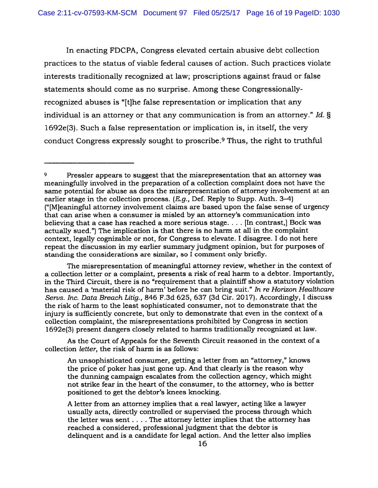In enacting FDCPA, Congress elevated certain abusive debt collection practices to the status of viable federal causes of action. Such practices violate interests traditionally recognized at law; proscriptions against fraud or false statements should come as no surprise. Among these Congressionallyrecognized abuses is "[t]he false representation or implication that any individual is an attorney or that any communication is from an attorney." Id. § 1692e(3). Such <sup>a</sup> false representation or implication is, in itself, the very conduct Congress expressly sought to proscribe.<sup>9</sup> Thus, the right to truthful

As the Court of Appeals for the Seventh Circuit reasoned in the context of <sup>a</sup> collection letter, the risk of harm is as follows:

An unsophisticated consumer, getting <sup>a</sup> letter from an "attorney," knows the price of poker has just gone up. And that clearly is the reason why the dunning campaign escalates from the collection agency, which might not strike fear in the heart of the consumer, to the attorney, who is better positioned to ge<sup>t</sup> the debtor's knees knocking.

A letter from an attorney implies that <sup>a</sup> real lawyer, acting like <sup>a</sup> lawyer usually acts, directly controlled or supervised the process through which the letter was sent . . . . The attorney letter implies that the attorney has reached <sup>a</sup> considered, professional judgment that the debtor is delinquent and is <sup>a</sup> candidate for legal action. And the letter also implies

Pressler appears to suggest that the misrepresentation that an attorney was meaningfully involved in the preparation of <sup>a</sup> collection complaint does not have the same potential for abuse as does the misrepresentation of attorney involvement at an earlier stage in the collection process. (*E.g.*, Def. Reply to Supp. Auth. 3–4) ("[M]eaningful attorney involvement claims are based upon the false sense of urgency that can arise when <sup>a</sup> consumer is misled by an attorney's communication into believing that <sup>a</sup> case has reached <sup>a</sup> more serious stage. . . . [In contrast,] Bock was actually sued.") The implication is that there is no harm at all in the complaint context, legally cognizable or not, for Congress to elevate. <sup>I</sup> disagree. <sup>I</sup> do not here repea<sup>t</sup> the discussion in my earlier summary judgment opinion, but for purposes of standing the considerations are similar, so I comment only briefly.

The misrepresentation of meaningful attorney review, whether in the context of <sup>a</sup> collection letter or <sup>a</sup> complaint, presents <sup>a</sup> risk of real harm to <sup>a</sup> debtor. Importantly, in the Third Circuit, there is no "requirement that <sup>a</sup> <sup>p</sup>laintiff show <sup>a</sup> statutory violation has caused <sup>a</sup> 'material risk of harm' before he can bring suit." In re Horizon Healthcare Servs. Inc. Data Breach Litig., 846 F.3d 625, 637 (3d Cir. 2017). Accordingly, <sup>I</sup> discuss the risk of harm to the least sophisticated consumer, not to demonstrate that the injury is sufficiently concrete, but only to demonstrate that even in the context of <sup>a</sup> collection complaint, the misrepresentations prohibited by Congress in section 1692e(3) presen<sup>t</sup> dangers closely related to harms traditionally recognized at law.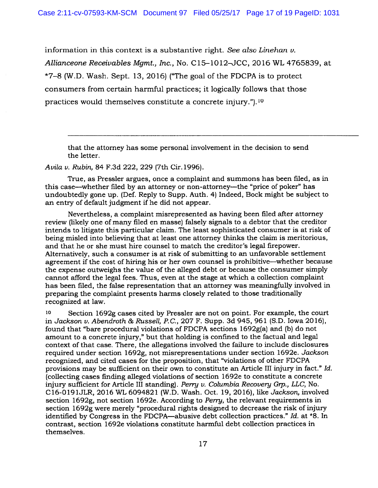information in this context is a substantive right. See also Linehan  $\nu$ . Allianceone Receivables Mgmt., Inc., No. C15-1012-JCC, 2016 WL 4765839, at  $*7-8$  (W.D. Wash. Sept. 13, 2016) ("The goal of the FDCPA is to protect consumers from certain harmful practices; it logically follows that those practices would themselves constitute a concrete injury.").<sup>10</sup>

that the attorney has some personal involvement in the decision to send the letter.

Avila v. Rubin, 84 F.3d 222, 229 (7th Cir. 1996).

True, as Pressler argues, once <sup>a</sup> complaint and summons has been filed, as in this case—whether filed by an attorney or non-attorney—the "price of poker" has undoubtedly gone up. (Def. Reply to Supp. Auth. 4) Indeed, Bock might be subject to an entry of default judgment if he did not appear.

Nevertheless, <sup>a</sup> complaint misrepresented as having been filed after attorney review (likely one of many filed en masse) falsely signals to <sup>a</sup> debtor that the creditor intends to litigate this particular claim. The least sophisticated consumer is at risk of being misled into believing that at least one attorney thinks the claim is meritorious, and that he or she must hire counsel to match the creditor's legal firepower. Alternatively, such <sup>a</sup> consumer is at risk of submitting to an unfavorable settlement agreemen<sup>t</sup> if the cost of hiring his or her own counsel is prohibitive—whether because the expense outweighs the value of the alleged debt or because the consumer simply cannot afford the legal fees. Thus, even at the stage at which <sup>a</sup> collection complaint has been filed, the false representation that an attorney was meaningfully involved in preparing the complaint presents harms closely related to those traditionally recognized at law.

<sup>10</sup> Section 1692g cases cited by Pressler are not on point. For example, the court in Jackson v. Abendroth & Russell, P.C., 207 F. Supp. 3d 945, 961 (S.D. Iowa 2016), found that "bare procedural violations of FDCPA sections 1692g(a) and (b) do not amount to <sup>a</sup> concrete injury," but that holding is confmed to the factual and legal context of that case. There, the allegations involved the failure to include disclosures required under section 1692g, not misrepresentations under section 1692e. Jackson recognized, and cited cases for the proposition, that "violations of other FDCPA provisions may be sufficient on their own to constitute an Article III injury in fact." Id. (collecting cases finding alleged violations of section 1692e to constitute <sup>a</sup> concrete injury sufficient for Article III standing). Perry v. Columbia Recovery Grp., LLC, No. C16-O191JLR, 2016 WL 6094821 (W.D. Wash. Oct. 19, 2016), like Jackson, involved section 1692g, not section 1692e. According to Perry, the relevant requirements in section 1692g were merely "procedural rights designed to decrease the risk of injury identified by Congress in the FDCPA—abusive debt collection practices." Id. at \*8. In contrast, section 1692e violations constitute harmful debt collection practices in themselves.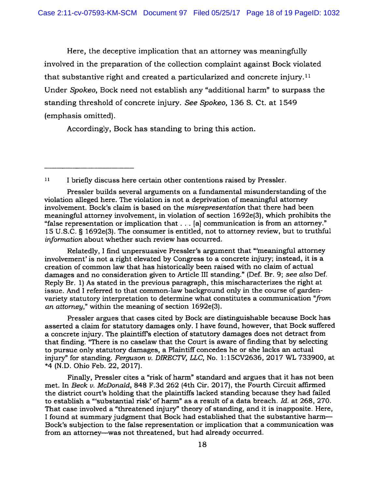Here, the deceptive implication that an attorney was meaningfully involved in the preparation of the collection complaint against Bock violated that substantive right and created a particularized and concrete injury.<sup>11</sup> Under Spokeo, Bock need not establish any "additional harm" to surpass the standing threshold of concrete injury. See Spokeo, 136 S. Ct. at 1549 (emphasis omitted).

Accordingly, Bock has standing to bring this action.

Pressler builds several arguments on <sup>a</sup> fundamental misunderstanding of the violation alleged here. The violation is not <sup>a</sup> deprivation of meaningful attorney involvement. Bock's claim is based on the misrepresentation that there had been meaningful attorney involvement, in violation of section 1692e(3), which prohibits the "false representation or implication that. . . [a] communication is from an attorney." <sup>15</sup> U.S.C. § 1692e(3). The consumer is entitled, not to attorney review, but to truthful information about whether such review has occurred.

Relatedly, <sup>I</sup> find unpersuasive Pressler's argumen<sup>t</sup> that "meaningful attorney involvement' is not <sup>a</sup> right elevated by Congress to <sup>a</sup> concrete injury; instead, it is <sup>a</sup> creation of common law that has historically been raised with no claim of actual damages and no consideration <sup>g</sup>iven to Article III standing." (Def. Br. 9; see also Def. Reply Br. 1) As stated in the previous paragraph, this mischaracterizes the right at issue. And I referred to that common-law background only in the course of gardenvariety statutory interpretation to determine what constitutes <sup>a</sup> communication "from an attorney," within the meaning of section 1692e(3).

Pressler argues that cases cited by Bock are distinguishable because Bock has asserted <sup>a</sup> claim for statutory damages only. <sup>I</sup> have found, however, that Bock suffered <sup>a</sup> concrete injury. The <sup>p</sup>laintiff's election of statutory damages does not detract from that fmding. "There is no caselaw that the Court is aware of finding that by selecting to pursue only statutory damages, <sup>a</sup> Plaintiff concedes he or she lacks an actual injury" for standing. Ferguson v. DIRECTV, LLC, No. 1:15CV2636, 2017 WL 733900, at \*4 (N.D. Ohio Feb. 22, 2017).

Finally, Pressler cites <sup>a</sup> "risk of harm" standard and argues that it has not been met. In Beck v. McDonald, 848 F.3d 262 (4th Cir. 2017), the Fourth Circuit affirmed the district court's holding that the plaintiffs lacked standing because they had failed to establish <sup>a</sup> "substantial risk' of harm" as <sup>a</sup> result of <sup>a</sup> data breach. Id. at 268, 270. That case involved <sup>a</sup> "threatened injury" theory of standing, and it is inapposite. Here, <sup>I</sup> found at summary judgment that Bock had established that the substantive harm— Bock's subjection to the false representation or implication that <sup>a</sup> communication was from an attorney—was not threatened, but had already occurred.

<sup>&</sup>lt;sup>11</sup> I briefly discuss here certain other contentions raised by Pressler.